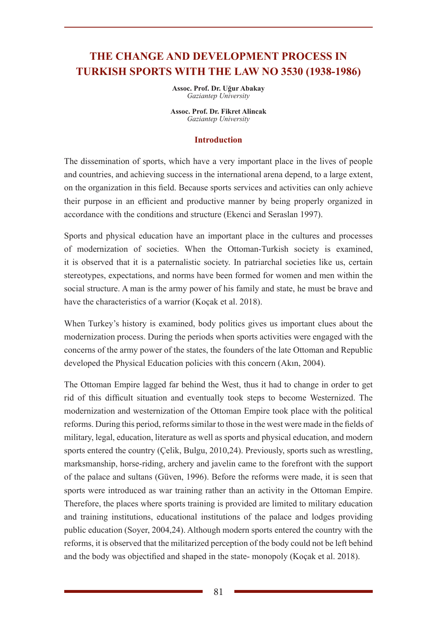# **THE CHANGE AND DEVELOPMENT PROCESS IN TURKISH SPORTS WITH THE LAW NO 3530 (1938-1986)**

**Assoc. Prof. Dr. Uğur Abakay** *Gaziantep University* 

**Assoc. Prof. Dr. Fikret Alincak** *Gaziantep University* 

#### **Introduction**

The dissemination of sports, which have a very important place in the lives of people and countries, and achieving success in the international arena depend, to a large extent, on the organization in this field. Because sports services and activities can only achieve their purpose in an efficient and productive manner by being properly organized in accordance with the conditions and structure (Ekenci and Seraslan 1997).

Sports and physical education have an important place in the cultures and processes of modernization of societies. When the Ottoman-Turkish society is examined, it is observed that it is a paternalistic society. In patriarchal societies like us, certain stereotypes, expectations, and norms have been formed for women and men within the social structure. A man is the army power of his family and state, he must be brave and have the characteristics of a warrior (Koçak et al. 2018).

When Turkey's history is examined, body politics gives us important clues about the modernization process. During the periods when sports activities were engaged with the concerns of the army power of the states, the founders of the late Ottoman and Republic developed the Physical Education policies with this concern (Akın, 2004).

The Ottoman Empire lagged far behind the West, thus it had to change in order to get rid of this difficult situation and eventually took steps to become Westernized. The modernization and westernization of the Ottoman Empire took place with the political reforms. During this period, reforms similar to those in the west were made in the fields of military, legal, education, literature as well as sports and physical education, and modern sports entered the country (Çelik, Bulgu, 2010,24). Previously, sports such as wrestling, marksmanship, horse-riding, archery and javelin came to the forefront with the support of the palace and sultans (Güven, 1996). Before the reforms were made, it is seen that sports were introduced as war training rather than an activity in the Ottoman Empire. Therefore, the places where sports training is provided are limited to military education and training institutions, educational institutions of the palace and lodges providing public education (Soyer, 2004,24). Although modern sports entered the country with the reforms, it is observed that the militarized perception of the body could not be left behind and the body was objectified and shaped in the state- monopoly (Koçak et al. 2018).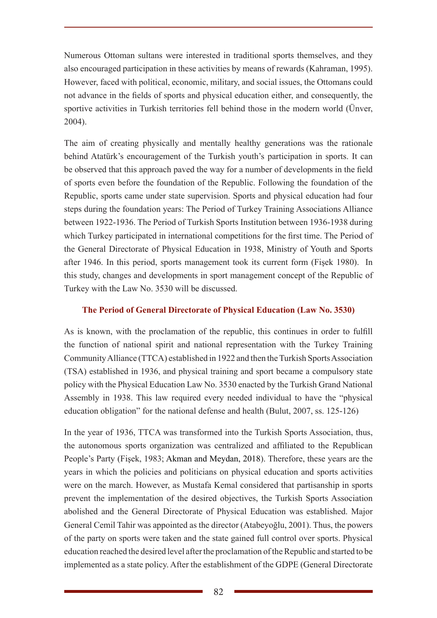Numerous Ottoman sultans were interested in traditional sports themselves, and they also encouraged participation in these activities by means of rewards (Kahraman, 1995). However, faced with political, economic, military, and social issues, the Ottomans could not advance in the fields of sports and physical education either, and consequently, the sportive activities in Turkish territories fell behind those in the modern world (Ünver, 2004).

The aim of creating physically and mentally healthy generations was the rationale behind Atatürk's encouragement of the Turkish youth's participation in sports. It can be observed that this approach paved the way for a number of developments in the field of sports even before the foundation of the Republic. Following the foundation of the Republic, sports came under state supervision. Sports and physical education had four steps during the foundation years: The Period of Turkey Training Associations Alliance between 1922-1936. The Period of Turkish Sports Institution between 1936-1938 during which Turkey participated in international competitions for the first time. The Period of the General Directorate of Physical Education in 1938, Ministry of Youth and Sports after 1946. In this period, sports management took its current form (Fişek 1980). In this study, changes and developments in sport management concept of the Republic of Turkey with the Law No. 3530 will be discussed.

## **The Period of General Directorate of Physical Education (Law No. 3530)**

As is known, with the proclamation of the republic, this continues in order to fulfill the function of national spirit and national representation with the Turkey Training Community Alliance (TTCA) established in 1922 and then the Turkish Sports Association (TSA) established in 1936, and physical training and sport became a compulsory state policy with the Physical Education Law No. 3530 enacted by the Turkish Grand National Assembly in 1938. This law required every needed individual to have the "physical education obligation" for the national defense and health (Bulut, 2007, ss. 125-126)

In the year of 1936, TTCA was transformed into the Turkish Sports Association, thus, the autonomous sports organization was centralized and affiliated to the Republican People's Party (Fişek, 1983; Akman and Meydan, 2018). Therefore, these years are the years in which the policies and politicians on physical education and sports activities were on the march. However, as Mustafa Kemal considered that partisanship in sports prevent the implementation of the desired objectives, the Turkish Sports Association abolished and the General Directorate of Physical Education was established. Major General Cemil Tahir was appointed as the director (Atabeyoğlu, 2001). Thus, the powers of the party on sports were taken and the state gained full control over sports. Physical education reached the desired level after the proclamation of the Republic and started to be implemented as a state policy. After the establishment of the GDPE (General Directorate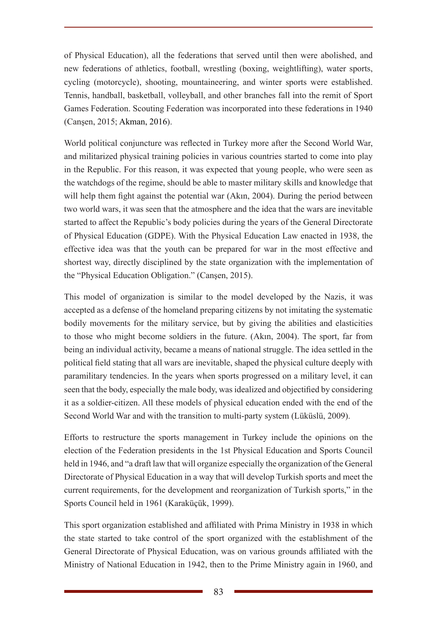of Physical Education), all the federations that served until then were abolished, and new federations of athletics, football, wrestling (boxing, weightlifting), water sports, cycling (motorcycle), shooting, mountaineering, and winter sports were established. Tennis, handball, basketball, volleyball, and other branches fall into the remit of Sport Games Federation. Scouting Federation was incorporated into these federations in 1940 (Canşen, 2015; Akman, 2016).

World political conjuncture was reflected in Turkey more after the Second World War, and militarized physical training policies in various countries started to come into play in the Republic. For this reason, it was expected that young people, who were seen as the watchdogs of the regime, should be able to master military skills and knowledge that will help them fight against the potential war (Akin, 2004). During the period between two world wars, it was seen that the atmosphere and the idea that the wars are inevitable started to affect the Republic's body policies during the years of the General Directorate of Physical Education (GDPE). With the Physical Education Law enacted in 1938, the effective idea was that the youth can be prepared for war in the most effective and shortest way, directly disciplined by the state organization with the implementation of the "Physical Education Obligation." (Canşen, 2015).

This model of organization is similar to the model developed by the Nazis, it was accepted as a defense of the homeland preparing citizens by not imitating the systematic bodily movements for the military service, but by giving the abilities and elasticities to those who might become soldiers in the future. (Akın, 2004). The sport, far from being an individual activity, became a means of national struggle. The idea settled in the political field stating that all wars are inevitable, shaped the physical culture deeply with paramilitary tendencies. In the years when sports progressed on a military level, it can seen that the body, especially the male body, was idealized and objectified by considering it as a soldier-citizen. All these models of physical education ended with the end of the Second World War and with the transition to multi-party system (Lüküslü, 2009).

Efforts to restructure the sports management in Turkey include the opinions on the election of the Federation presidents in the 1st Physical Education and Sports Council held in 1946, and "a draft law that will organize especially the organization of the General Directorate of Physical Education in a way that will develop Turkish sports and meet the current requirements, for the development and reorganization of Turkish sports," in the Sports Council held in 1961 (Karaküçük, 1999).

This sport organization established and affiliated with Prima Ministry in 1938 in which the state started to take control of the sport organized with the establishment of the General Directorate of Physical Education, was on various grounds affiliated with the Ministry of National Education in 1942, then to the Prime Ministry again in 1960, and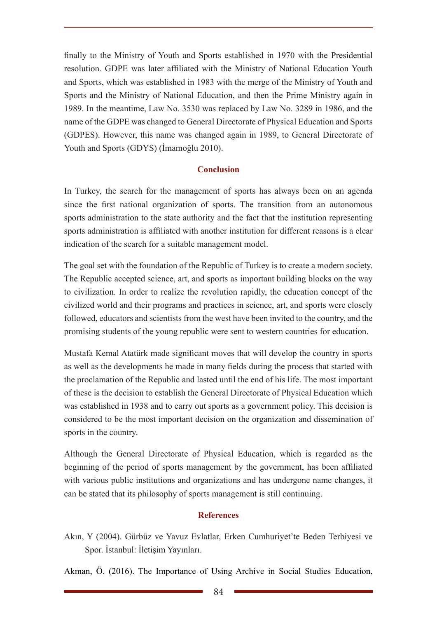finally to the Ministry of Youth and Sports established in 1970 with the Presidential resolution. GDPE was later affiliated with the Ministry of National Education Youth and Sports, which was established in 1983 with the merge of the Ministry of Youth and Sports and the Ministry of National Education, and then the Prime Ministry again in 1989. In the meantime, Law No. 3530 was replaced by Law No. 3289 in 1986, and the name of the GDPE was changed to General Directorate of Physical Education and Sports (GDPES). However, this name was changed again in 1989, to General Directorate of Youth and Sports (GDYS) (İmamoğlu 2010).

## **Conclusion**

In Turkey, the search for the management of sports has always been on an agenda since the first national organization of sports. The transition from an autonomous sports administration to the state authority and the fact that the institution representing sports administration is affiliated with another institution for different reasons is a clear indication of the search for a suitable management model.

The goal set with the foundation of the Republic of Turkey is to create a modern society. The Republic accepted science, art, and sports as important building blocks on the way to civilization. In order to realize the revolution rapidly, the education concept of the civilized world and their programs and practices in science, art, and sports were closely followed, educators and scientists from the west have been invited to the country, and the promising students of the young republic were sent to western countries for education.

Mustafa Kemal Atatürk made significant moves that will develop the country in sports as well as the developments he made in many fields during the process that started with the proclamation of the Republic and lasted until the end of his life. The most important of these is the decision to establish the General Directorate of Physical Education which was established in 1938 and to carry out sports as a government policy. This decision is considered to be the most important decision on the organization and dissemination of sports in the country.

Although the General Directorate of Physical Education, which is regarded as the beginning of the period of sports management by the government, has been affiliated with various public institutions and organizations and has undergone name changes, it can be stated that its philosophy of sports management is still continuing.

## **References**

Akın, Y (2004). Gürbüz ve Yavuz Evlatlar, Erken Cumhuriyet'te Beden Terbiyesi ve Spor. İstanbul: İletişim Yayınları.

Akman, Ö. (2016). The Importance of Using Archive in Social Studies Education,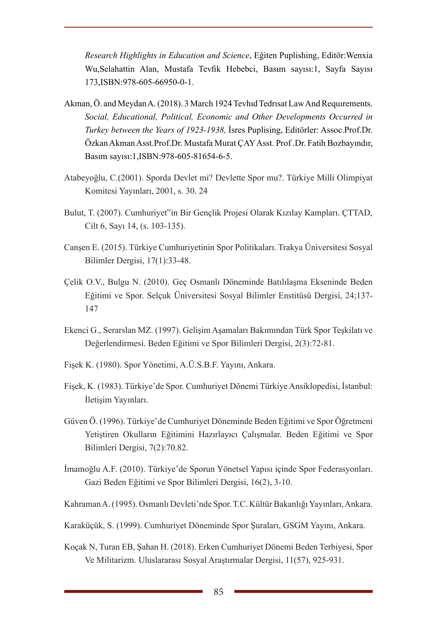*Research Highlights in Education and Science*, Eğiten Puplishing, Editör:Wenxia Wu,Selahattin Alan, Mustafa Tevfik Hebebci, Basım sayısı:1, Sayfa Sayısı 173,ISBN:978-605-66950-0-1.

- Akman, Ö. and Meydan A. (2018). 3 March 1924 Tevhıd Tedrısat Law And Requırements. *Social, Educational, Political, Economic and Other Developments Occurred in Turkey between the Years of 1923-1938,* İsres Puplising, Editörler: Assoc.Prof.Dr. ÖzkanAkman Asst.Prof.Dr. Mustafa Murat ÇAY Asst. Prof .Dr. Fatih Bozbayındır, Basım sayısı:1,ISBN:978-605-81654-6-5.
- Atabeyoğlu, C.(2001). Sporda Devlet mi? Devlette Spor mu?. Türkiye Milli Olimpiyat Komitesi Yayınları, 2001, s. 30. 24
- Bulut, T. (2007). Cumhuriyet"in Bir Gençlik Projesi Olarak Kızılay Kampları. ÇTTAD, Cilt 6, Sayı 14, (s. 103-135).
- Canşen E. (2015). Türkiye Cumhuriyetinin Spor Politikaları. Trakya Üniversitesi Sosyal Bilimler Dergisi, 17(1):33-48.
- Çelik O.V., Bulgu N. (2010). Geç Osmanlı Döneminde Batılılaşma Ekseninde Beden Eğitimi ve Spor. Selçuk Üniversitesi Sosyal Bilimler Enstitüsü Dergisi, 24;137- 147
- Ekenci G., Serarslan MZ. (1997). Gelişim Aşamaları Bakımından Türk Spor Teşkilatı ve Değerlendirmesi. Beden Eğitimi ve Spor Bilimleri Dergisi, 2(3):72-81.
- Fişek K. (1980). Spor Yönetimi, A.Ü.S.B.F. Yayını, Ankara.
- Fişek, K. (1983). Türkiye'de Spor. Cumhuriyet Dönemi Türkiye Ansiklopedisi, İstanbul: İletişim Yayınları.
- Güven Ö. (1996). Türkiye'de Cumhuriyet Döneminde Beden Eğitimi ve Spor Öğretmeni Yetiştiren Okulların Eğitimini Hazırlayıcı Çalışmalar. Beden Eğitimi ve Spor Bilimleri Dergisi, 7(2):70.82.
- İmamoğlu A.F. (2010). Türkiye'de Sporun Yönetsel Yapısı içinde Spor Federasyonları. Gazi Beden Eğitimi ve Spor Bilimleri Dergisi, 16(2), 3-10.
- Kahraman A. (1995). Osmanlı Devleti'nde Spor. T.C. Kültür Bakanlığı Yayınları, Ankara.
- Karaküçük, S. (1999). Cumhuriyet Döneminde Spor Şuraları, GSGM Yayını, Ankara.
- Koçak N, Turan EB, Şahan H. (2018). Erken Cumhuriyet Dönemi Beden Terbiyesi, Spor Ve Militarizm. Uluslararası Sosyal Araştırmalar Dergisi, 11(57), 925-931.